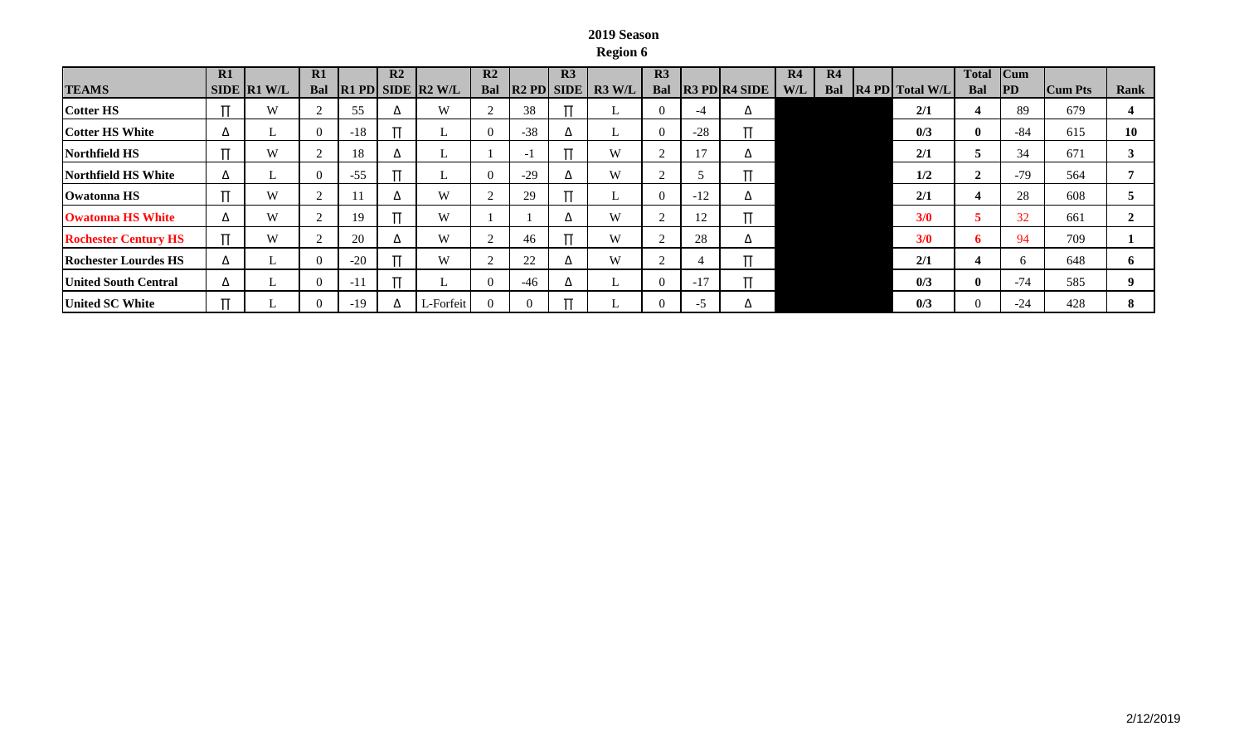## **2019 Season Region 6**

|                             | R1 |               | R1         |       | R <sub>2</sub> |                         | R <sub>2</sub> |          | R3       |                          | R <sub>3</sub> |       |                                         | R <sub>4</sub> | R4  |                                                    | Total        | ICum  |                |      |
|-----------------------------|----|---------------|------------|-------|----------------|-------------------------|----------------|----------|----------|--------------------------|----------------|-------|-----------------------------------------|----------------|-----|----------------------------------------------------|--------------|-------|----------------|------|
| <b>TEAMS</b>                |    | SIDE   R1 W/L | <b>Bal</b> |       |                | $ R1$ PD SIDE $ R2$ W/L | Bal            |          |          | $ R2$ PD $ SIDE $ R3 W/L | Bal            |       | $\overline{R3}$ PD $\overline{R4}$ SIDE | W/L            | Bal | $\left  \mathbf{R}4 \mathbf{PD} \right $ Total W/L | Bal          | PD    | <b>Cum Pts</b> | Rank |
| <b>Cotter HS</b>            |    | W             |            | 55    | $\Delta$       | W                       |                | 38       |          | L.                       |                | -4    | Δ                                       |                |     | 2/1                                                | 4            | 89    | 679            |      |
| <b>Cotter HS White</b>      | Δ  |               |            | $-18$ |                |                         |                | $-38$    | ▵        | ⊷                        |                | $-28$ |                                         |                |     | 0/3                                                | $\mathbf{0}$ | -84   | 615            | 10   |
| Northfield HS               |    | W             |            | 18    | $\Delta$       | ı,                      |                | - 1      |          | W                        |                |       | ▵                                       |                |     | 2/1                                                |              | 34    | 671            |      |
| <b>Northfield HS White</b>  | Δ  |               |            | $-55$ |                | ∟                       |                | $-29$    | ▵        | W                        |                |       |                                         |                |     | 1/2                                                |              | $-79$ | 564            |      |
| Owatonna HS                 |    | W             |            |       | $\Delta$       | W                       |                | 29       |          | ⊷                        |                | $-12$ | Δ                                       |                |     | 2/1                                                |              | 28    | 608            |      |
| <b>Owatonna HS White</b>    | Δ  | W             |            | 19    |                | W                       |                |          | △        | W                        |                | 12    |                                         |                |     | 3/0                                                |              | 32    | 661            |      |
| <b>Rochester Century HS</b> |    | W             |            | 20    | $\Delta$       | W                       |                | 46       |          | W                        |                | 28    | Δ                                       |                |     | 3/0                                                | -b           | 94    | 709            |      |
| <b>Rochester Lourdes HS</b> | Δ  | ⊥             |            | $-20$ |                | W                       |                | 22       | △        | W                        |                |       |                                         |                |     | 2/1                                                |              |       | 648            |      |
| <b>United South Central</b> | Δ  |               |            | $-11$ |                | L.                      | $\Omega$       | $-46$    | $\Delta$ | L.                       |                | $-17$ |                                         |                |     | $\frac{0}{3}$                                      | $\mathbf{0}$ | $-74$ | 585            |      |
| <b>United SC White</b>      |    |               |            | $-19$ | Δ              | L-Forfeit               |                | $\Omega$ |          |                          |                | -5    |                                         |                |     | 0/3                                                | $\Omega$     | $-24$ | 428            |      |